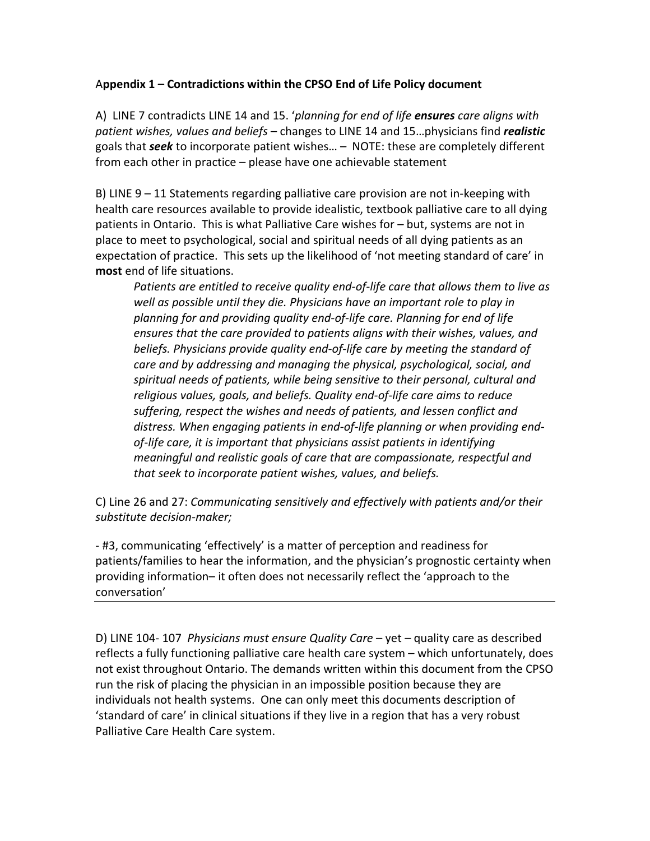## A**ppendix 1 – Contradictions within the CPSO End of Life Policy document**

A) LINE 7 contradicts LINE 14 and 15. '*planning for end of life ensures care aligns with patient wishes, values and beliefs* – changes to LINE 14 and 15…physicians find *realistic* goals that *seek* to incorporate patient wishes… – NOTE: these are completely different from each other in practice – please have one achievable statement

B) LINE 9 – 11 Statements regarding palliative care provision are not in-keeping with health care resources available to provide idealistic, textbook palliative care to all dying patients in Ontario. This is what Palliative Care wishes for – but, systems are not in place to meet to psychological, social and spiritual needs of all dying patients as an expectation of practice. This sets up the likelihood of 'not meeting standard of care' in **most** end of life situations.

*Patients are entitled to receive quality end-of-life care that allows them to live as well as possible until they die. Physicians have an important role to play in planning for and providing quality end-of-life care. Planning for end of life ensures that the care provided to patients aligns with their wishes, values, and beliefs. Physicians provide quality end-of-life care by meeting the standard of care and by addressing and managing the physical, psychological, social, and spiritual needs of patients, while being sensitive to their personal, cultural and religious values, goals, and beliefs. Quality end-of-life care aims to reduce suffering, respect the wishes and needs of patients, and lessen conflict and distress. When engaging patients in end-of-life planning or when providing endof-life care, it is important that physicians assist patients in identifying meaningful and realistic goals of care that are compassionate, respectful and that seek to incorporate patient wishes, values, and beliefs.* 

C) Line 26 and 27: *Communicating sensitively and effectively with patients and/or their substitute decision-maker;*

- #3, communicating 'effectively' is a matter of perception and readiness for patients/families to hear the information, and the physician's prognostic certainty when providing information– it often does not necessarily reflect the 'approach to the conversation'

D) LINE 104- 107 *Physicians must ensure Quality Care* – yet – quality care as described reflects a fully functioning palliative care health care system – which unfortunately, does not exist throughout Ontario. The demands written within this document from the CPSO run the risk of placing the physician in an impossible position because they are individuals not health systems. One can only meet this documents description of 'standard of care' in clinical situations if they live in a region that has a very robust Palliative Care Health Care system.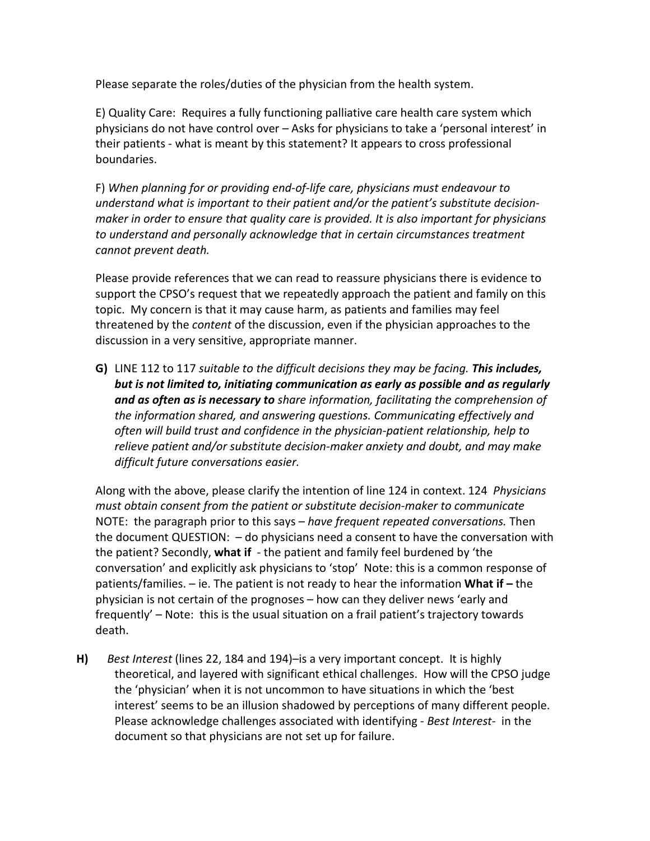Please separate the roles/duties of the physician from the health system.

E) Quality Care: Requires a fully functioning palliative care health care system which physicians do not have control over – Asks for physicians to take a 'personal interest' in their patients - what is meant by this statement? It appears to cross professional boundaries.

F) *When planning for or providing end-of-life care, physicians must endeavour to understand what is important to their patient and/or the patient's substitute decisionmaker in order to ensure that quality care is provided. It is also important for physicians to understand and personally acknowledge that in certain circumstances treatment cannot prevent death.* 

Please provide references that we can read to reassure physicians there is evidence to support the CPSO's request that we repeatedly approach the patient and family on this topic. My concern is that it may cause harm, as patients and families may feel threatened by the *content* of the discussion, even if the physician approaches to the discussion in a very sensitive, appropriate manner.

**G)** LINE 112 to 117 *suitable to the difficult decisions they may be facing. This includes, but is not limited to, initiating communication as early as possible and as regularly and as often as is necessary to share information, facilitating the comprehension of the information shared, and answering questions. Communicating effectively and often will build trust and confidence in the physician-patient relationship, help to relieve patient and/or substitute decision-maker anxiety and doubt, and may make difficult future conversations easier.*

Along with the above, please clarify the intention of line 124 in context. 124 *Physicians must obtain consent from the patient or substitute decision-maker to communicate* NOTE: the paragraph prior to this says – *have frequent repeated conversations.* Then the document QUESTION: – do physicians need a consent to have the conversation with the patient? Secondly, **what if** - the patient and family feel burdened by 'the conversation' and explicitly ask physicians to 'stop' Note: this is a common response of patients/families. – ie. The patient is not ready to hear the information **What if –** the physician is not certain of the prognoses – how can they deliver news 'early and frequently' – Note: this is the usual situation on a frail patient's trajectory towards death.

**H)** *Best Interest* (lines 22, 184 and 194)–is a very important concept. It is highly theoretical, and layered with significant ethical challenges. How will the CPSO judge the 'physician' when it is not uncommon to have situations in which the 'best interest' seems to be an illusion shadowed by perceptions of many different people. Please acknowledge challenges associated with identifying - *Best Interest*- in the document so that physicians are not set up for failure.